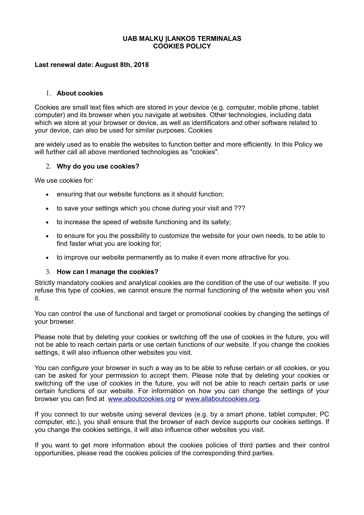### **UAB MALKŲ ĮLANKOS TERMINALAS COOKIES POLICY**

### **Last renewal date: August 8th, 2018**

#### 1. **About cookies**

Cookies are small text files which are stored in your device (e.g. computer, mobile phone, tablet computer) and its browser when you navigate at websites. Other technologies, including data which we store at your browser or device, as well as identificators and other software related to your device, can also be used for similar purposes. Cookies

are widely used as to enable the websites to function better and more efficiently. In this Policy we will further call all above mentioned technologies as "cookies".

#### 2. **Why do you use cookies?**

We use cookies for:

- ensuring that our website functions as it should function;
- to save your settings which you chose during your visit and ???
- to increase the speed of website functioning and its safety;
- to ensure for you the possibility to customize the website for your own needs, to be able to find faster what you are looking for;
- to improve our website permanently as to make it even more attractive for you.

#### 3. **How can I manage the cookies?**

Strictly mandatory cookies and analytical cookies are the condition of the use of our website. If you refuse this type of cookies, we cannot ensure the normal functioning of the website when you visit it.

You can control the use of functional and target or promotional cookies by changing the settings of your browser.

Please note that by deleting your cookies or switching off the use of cookies in the future, you will not be able to reach certain parts or use certain functions of our website. If you change the cookies settings, it will also influence other websites you visit.

You can configure your browser in such a way as to be able to refuse certain or all cookies, or you can be asked for your permission to accept them. Please note that by deleting your cookies or switching off the use of cookies in the future, you will not be able to reach certain parts or use certain functions of our website. For information on how you can change the settings of your browser you can find at [www.aboutcookies.org](http://www.aboutcookies.org/) or [www.allaboutcookies.org.](http://www.allaboutcookies.org/)

If you connect to our website using several devices (e.g. by a smart phone, tablet computer, PC computer, etc.), you shall ensure that the browser of each device supports our cookies settings. If you change the cookies settings, it will also influence other websites you visit.

If you want to get more information about the cookies policies of third parties and their control opportunities, please read the cookies policies of the corresponding third parties.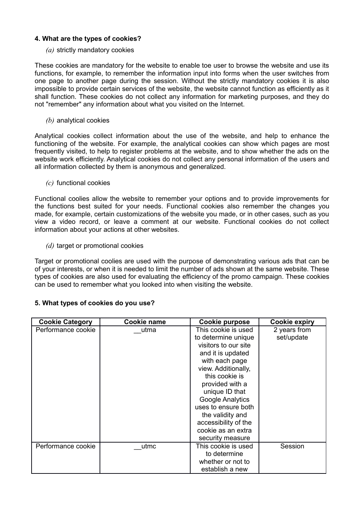# **4. What are the types of cookies?**

# *(a)* strictly mandatory cookies

These cookies are mandatory for the website to enable toe user to browse the website and use its functions, for example, to remember the information input into forms when the user switches from one page to another page during the session. Without the strictly mandatory cookies it is also impossible to provide certain services of the website, the website cannot function as efficiently as it shall function. These cookies do not collect any information for marketing purposes, and they do not "remember" any information about what you visited on the Internet.

# *(b)* analytical cookies

Analytical cookies collect information about the use of the website, and help to enhance the functioning of the website. For example, the analytical cookies can show which pages are most frequently visited, to help to register problems at the website, and to show whether the ads on the website work efficiently. Analytical cookies do not collect any personal information of the users and all information collected by them is anonymous and generalized.

# *(c)* functional cookies

Functional coolies allow the website to remember your options and to provide improvements for the functions best suited for your needs. Functional cookies also remember the changes you made, for example, certain customizations of the website you made, or in other cases, such as you view a video record, or leave a comment at our website. Functional cookies do not collect information about your actions at other websites.

*(d)* target or promotional cookies

Target or promotional coolies are used with the purpose of demonstrating various ads that can be of your interests, or when it is needed to limit the number of ads shown at the same website. These types of cookies are also used for evaluating the efficiency of the promo campaign. These cookies can be used to remember what you looked into when visiting the website.

| <b>Cookie Category</b> | Cookie name | <b>Cookie purpose</b> | <b>Cookie expiry</b> |
|------------------------|-------------|-----------------------|----------------------|
| Performance cookie     | utma        | This cookie is used   | 2 years from         |
|                        |             | to determine unique   | set/update           |
|                        |             | visitors to our site  |                      |
|                        |             | and it is updated     |                      |
|                        |             | with each page        |                      |
|                        |             | view. Additionally,   |                      |
|                        |             | this cookie is        |                      |
|                        |             | provided with a       |                      |
|                        |             | unique ID that        |                      |
|                        |             | Google Analytics      |                      |
|                        |             | uses to ensure both   |                      |
|                        |             | the validity and      |                      |
|                        |             | accessibility of the  |                      |
|                        |             | cookie as an extra    |                      |
|                        |             | security measure      |                      |
| Performance cookie     | utmc        | This cookie is used   | Session              |
|                        |             | to determine          |                      |
|                        |             | whether or not to     |                      |
|                        |             | establish a new       |                      |

# **5. What types of cookies do you use?**